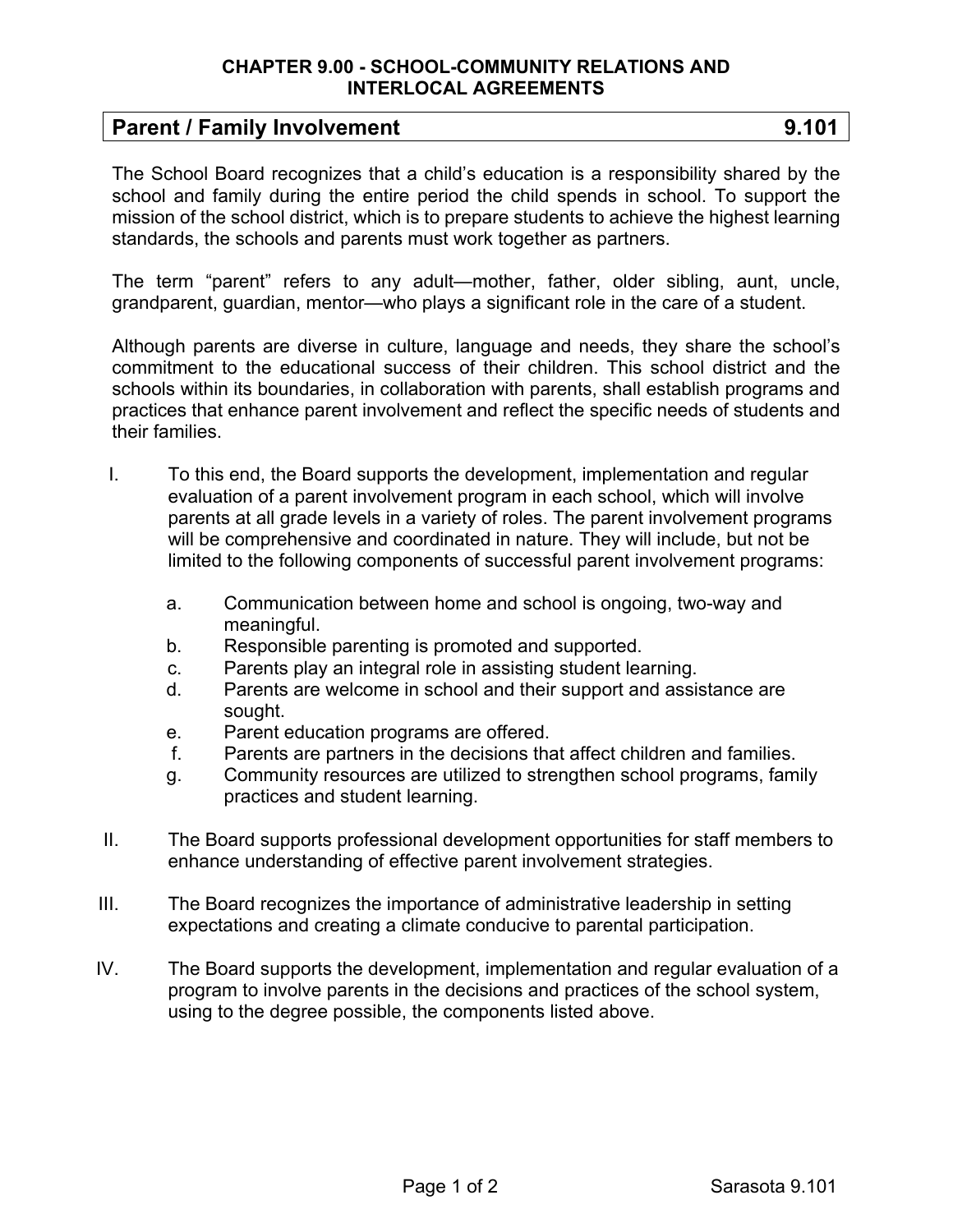## **CHAPTER 9.00 - SCHOOL-COMMUNITY RELATIONS AND INTERLOCAL AGREEMENTS**

## **Parent / Family Involvement 2008 100 2009 100 2009 100 2009 100 2009 100 2009 100 2009 100 2009 100 2009 100 200**

The School Board recognizes that a child's education is a responsibility shared by the school and family during the entire period the child spends in school. To support the mission of the school district, which is to prepare students to achieve the highest learning standards, the schools and parents must work together as partners.

The term "parent" refers to any adult—mother, father, older sibling, aunt, uncle, grandparent, guardian, mentor—who plays a significant role in the care of a student.

Although parents are diverse in culture, language and needs, they share the school's commitment to the educational success of their children. This school district and the schools within its boundaries, in collaboration with parents, shall establish programs and practices that enhance parent involvement and reflect the specific needs of students and their families.

- I. To this end, the Board supports the development, implementation and regular evaluation of a parent involvement program in each school, which will involve parents at all grade levels in a variety of roles. The parent involvement programs will be comprehensive and coordinated in nature. They will include, but not be limited to the following components of successful parent involvement programs:
	- a. Communication between home and school is ongoing, two-way and meaningful.
	- b. Responsible parenting is promoted and supported.
	- c. Parents play an integral role in assisting student learning.
	- d. Parents are welcome in school and their support and assistance are sought.
	- e. Parent education programs are offered.
	- f. Parents are partners in the decisions that affect children and families.
	- g. Community resources are utilized to strengthen school programs, family practices and student learning.
- II. The Board supports professional development opportunities for staff members to enhance understanding of effective parent involvement strategies.
- III. The Board recognizes the importance of administrative leadership in setting expectations and creating a climate conducive to parental participation.
- IV. The Board supports the development, implementation and regular evaluation of a program to involve parents in the decisions and practices of the school system, using to the degree possible, the components listed above.